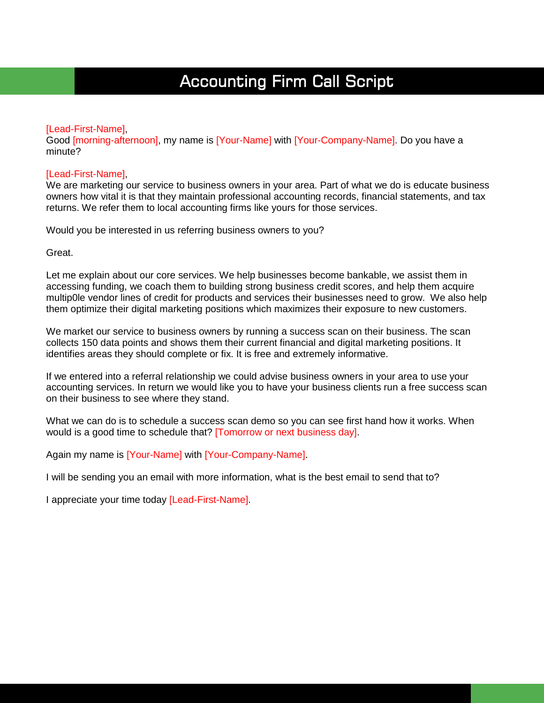# Accounting Firm Call Script

ı

#### [Lead-First-Name],

Good [morning-afternoon], my name is [Your-Name] with [Your-Company-Name]. Do you have a minute?

#### [Lead-First-Name],

We are marketing our service to business owners in your area. Part of what we do is educate business owners how vital it is that they maintain professional accounting records, financial statements, and tax returns. We refer them to local accounting firms like yours for those services.

Would you be interested in us referring business owners to you?

Great.

Let me explain about our core services. We help businesses become bankable, we assist them in accessing funding, we coach them to building strong business credit scores, and help them acquire multip0le vendor lines of credit for products and services their businesses need to grow. We also help them optimize their digital marketing positions which maximizes their exposure to new customers.

We market our service to business owners by running a success scan on their business. The scan collects 150 data points and shows them their current financial and digital marketing positions. It identifies areas they should complete or fix. It is free and extremely informative.

If we entered into a referral relationship we could advise business owners in your area to use your accounting services. In return we would like you to have your business clients run a free success scan on their business to see where they stand.

What we can do is to schedule a success scan demo so you can see first hand how it works. When would is a good time to schedule that? [Tomorrow or next business day].

Again my name is [Your-Name] with [Your-Company-Name].

I will be sending you an email with more information, what is the best email to send that to?

I appreciate your time today [Lead-First-Name].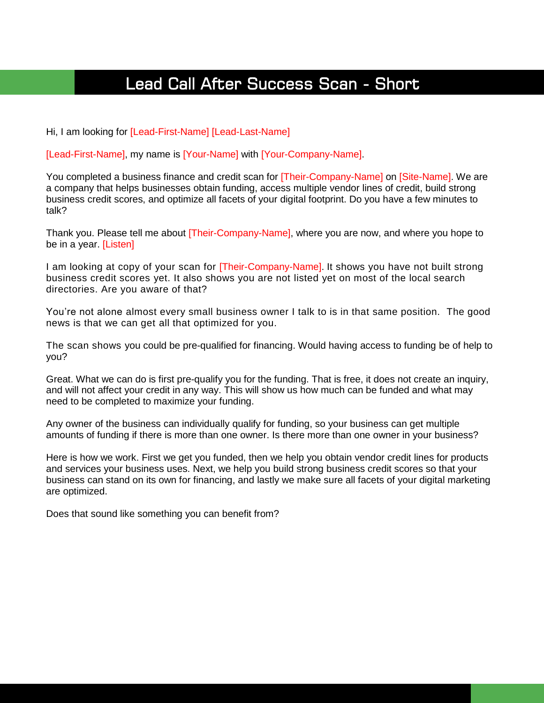# Lead Call After Success Scan - Short

Hi, I am looking for [Lead-First-Name] [Lead-Last-Name]

[Lead-First-Name], my name is [Your-Name] with [Your-Company-Name].

You completed a business finance and credit scan for [Their-Company-Name] on [Site-Name]. We are a company that helps businesses obtain funding, access multiple vendor lines of credit, build strong business credit scores, and optimize all facets of your digital footprint. Do you have a few minutes to talk?

Thank you. Please tell me about [Their-Company-Name], where you are now, and where you hope to be in a year. [Listen]

I am looking at copy of your scan for [Their-Company-Name]. It shows you have not built strong business credit scores yet. It also shows you are not listed yet on most of the local search directories. Are you aware of that?

You're not alone almost every small business owner I talk to is in that same position. The good news is that we can get all that optimized for you.

The scan shows you could be pre-qualified for financing. Would having access to funding be of help to you?

Great. What we can do is first pre-qualify you for the funding. That is free, it does not create an inquiry, and will not affect your credit in any way. This will show us how much can be funded and what may need to be completed to maximize your funding.

Any owner of the business can individually qualify for funding, so your business can get multiple amounts of funding if there is more than one owner. Is there more than one owner in your business?

Here is how we work. First we get you funded, then we help you obtain vendor credit lines for products and services your business uses. Next, we help you build strong business credit scores so that your business can stand on its own for financing, and lastly we make sure all facets of your digital marketing are optimized.

Does that sound like something you can benefit from?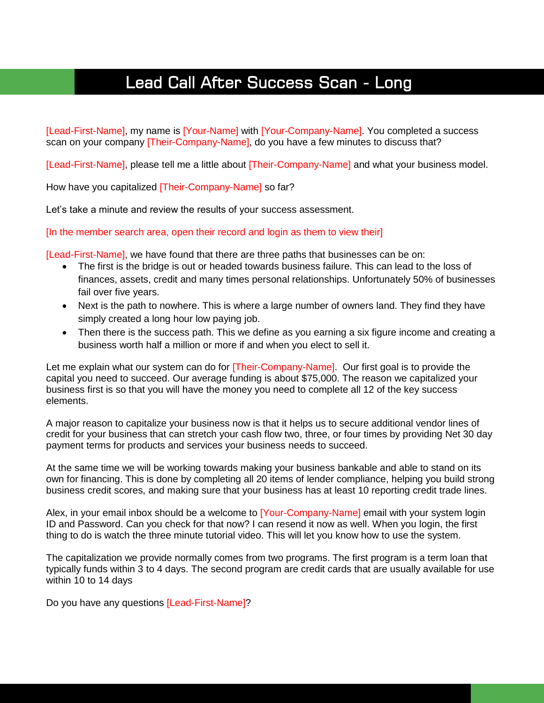# Lead Call After Success Scan - Long

[Lead-First-Name], my name is [Your-Name] with [Your-Company-Name]. You completed a success scan on your company **[Their-Company-Name]**, do you have a few minutes to discuss that?

[Lead-First-Name], please tell me a little about [Their-Company-Name] and what your business model.

How have you capitalized [Their-Company-Name] so far?

Let's take a minute and review the results of your success assessment.

[In the member search area, open their record and login as them to view their]

[Lead-First-Name], we have found that there are three paths that businesses can be on:

- The first is the bridge is out or headed towards business failure. This can lead to the loss of finances, assets, credit and many times personal relationships. Unfortunately 50% of businesses fail over five years.
- Next is the path to nowhere. This is where a large number of owners land. They find they have simply created a long hour low paying job.
- Then there is the success path. This we define as you earning a six figure income and creating a business worth half a million or more if and when you elect to sell it.

Let me explain what our system can do for [Their-Company-Name]. Our first goal is to provide the capital you need to succeed. Our average funding is about \$75,000. The reason we capitalized your business first is so that you will have the money you need to complete all 12 of the key success elements.

A major reason to capitalize your business now is that it helps us to secure additional vendor lines of credit for your business that can stretch your cash flow two, three, or four times by providing Net 30 day payment terms for products and services your business needs to succeed.

At the same time we will be working towards making your business bankable and able to stand on its own for financing. This is done by completing all 20 items of lender compliance, helping you build strong business credit scores, and making sure that your business has at least 10 reporting credit trade lines.

Alex, in your email inbox should be a welcome to [Your-Company-Name] email with your system login ID and Password. Can you check for that now? I can resend it now as well. When you login, the first thing to do is watch the three minute tutorial video. This will let you know how to use the system.

The capitalization we provide normally comes from two programs. The first program is a term loan that typically funds within 3 to 4 days. The second program are credit cards that are usually available for use within 10 to 14 days

Do you have any questions [Lead-First-Name]?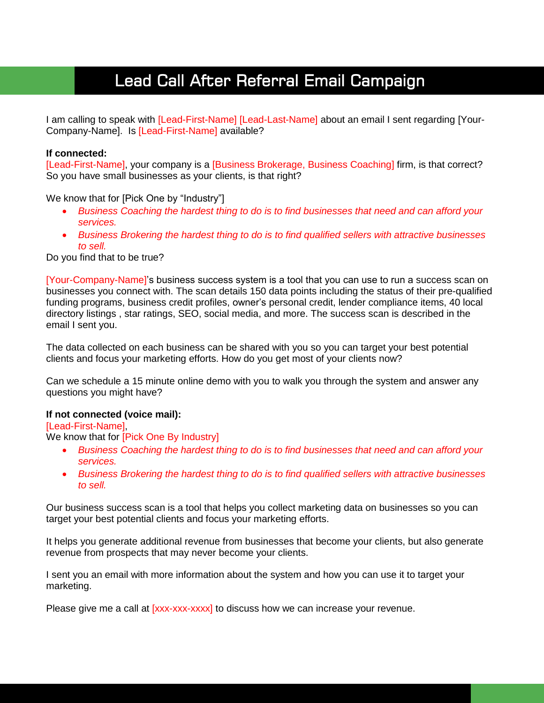# Lead Call After Referral Email Campaign

I am calling to speak with [Lead-First-Name] [Lead-Last-Name] about an email I sent regarding [Your-Company-Name]. Is [Lead-First-Name] available?

#### **If connected:**

[Lead-First-Name], your company is a [Business Brokerage, Business Coaching] firm, is that correct? So you have small businesses as your clients, is that right?

We know that for [Pick One by "Industry"]

- *Business Coaching the hardest thing to do is to find businesses that need and can afford your services.*
- *Business Brokering the hardest thing to do is to find qualified sellers with attractive businesses to sell.*

Do you find that to be true?

[Your-Company-Name]'s business success system is a tool that you can use to run a success scan on businesses you connect with. The scan details 150 data points including the status of their pre-qualified funding programs, business credit profiles, owner's personal credit, lender compliance items, 40 local directory listings , star ratings, SEO, social media, and more. The success scan is described in the email I sent you.

The data collected on each business can be shared with you so you can target your best potential clients and focus your marketing efforts. How do you get most of your clients now?

Can we schedule a 15 minute online demo with you to walk you through the system and answer any questions you might have?

#### **If not connected (voice mail):**

[Lead-First-Name],

We know that for [Pick One By Industry]

- *Business Coaching the hardest thing to do is to find businesses that need and can afford your services.*
- *Business Brokering the hardest thing to do is to find qualified sellers with attractive businesses to sell.*

Our business success scan is a tool that helps you collect marketing data on businesses so you can target your best potential clients and focus your marketing efforts.

It helps you generate additional revenue from businesses that become your clients, but also generate revenue from prospects that may never become your clients.

I sent you an email with more information about the system and how you can use it to target your marketing.

Please give me a call at [xxx-xxx-xxx] to discuss how we can increase your revenue.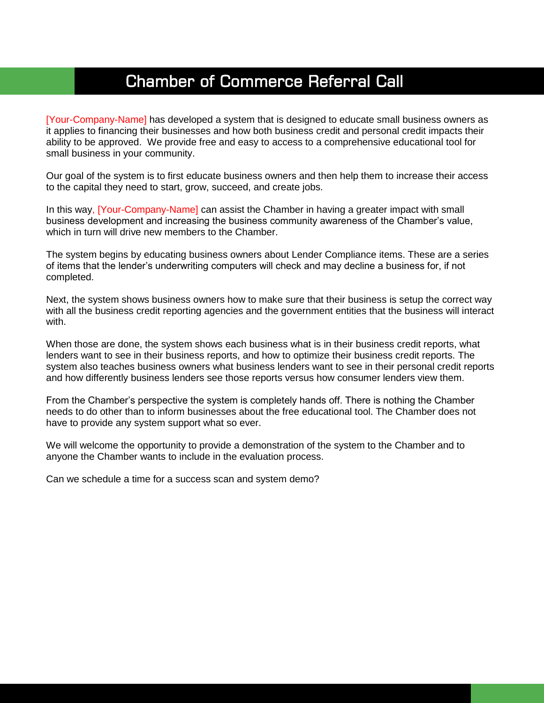# Chamber of Commerce Referral Call

[Your-Company-Name] has developed a system that is designed to educate small business owners as it applies to financing their businesses and how both business credit and personal credit impacts their ability to be approved. We provide free and easy to access to a comprehensive educational tool for small business in your community.

Our goal of the system is to first educate business owners and then help them to increase their access to the capital they need to start, grow, succeed, and create jobs.

In this way, [Your-Company-Name] can assist the Chamber in having a greater impact with small business development and increasing the business community awareness of the Chamber's value, which in turn will drive new members to the Chamber.

The system begins by educating business owners about Lender Compliance items. These are a series of items that the lender's underwriting computers will check and may decline a business for, if not completed.

Next, the system shows business owners how to make sure that their business is setup the correct way with all the business credit reporting agencies and the government entities that the business will interact with.

When those are done, the system shows each business what is in their business credit reports, what lenders want to see in their business reports, and how to optimize their business credit reports. The system also teaches business owners what business lenders want to see in their personal credit reports and how differently business lenders see those reports versus how consumer lenders view them.

From the Chamber's perspective the system is completely hands off. There is nothing the Chamber needs to do other than to inform businesses about the free educational tool. The Chamber does not have to provide any system support what so ever.

We will welcome the opportunity to provide a demonstration of the system to the Chamber and to anyone the Chamber wants to include in the evaluation process.

Can we schedule a time for a success scan and system demo?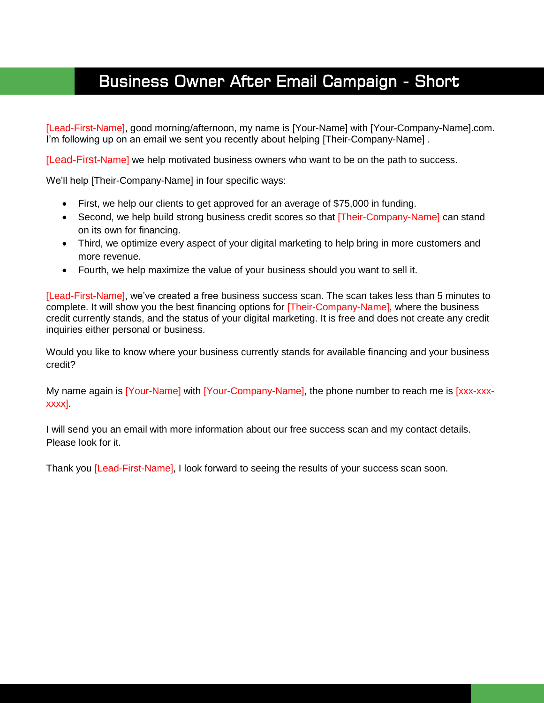# Business Owner After Email Campaign - Short

[Lead-First-Name], good morning/afternoon, my name is [Your-Name] with [Your-Company-Name].com. I'm following up on an email we sent you recently about helping [Their-Company-Name].

[Lead-First-Name] we help motivated business owners who want to be on the path to success.

We'll help [Their-Company-Name] in four specific ways:

- First, we help our clients to get approved for an average of \$75,000 in funding.
- Second, we help build strong business credit scores so that [Their-Company-Name] can stand on its own for financing.
- Third, we optimize every aspect of your digital marketing to help bring in more customers and more revenue.
- Fourth, we help maximize the value of your business should you want to sell it.

[Lead-First-Name], we've created a free business success scan. The scan takes less than 5 minutes to complete. It will show you the best financing options for [Their-Company-Name], where the business credit currently stands, and the status of your digital marketing. It is free and does not create any credit inquiries either personal or business.

Would you like to know where your business currently stands for available financing and your business credit?

My name again is [Your-Name] with [Your-Company-Name], the phone number to reach me is [xxx-xxxxxxx].

I will send you an email with more information about our free success scan and my contact details. Please look for it.

Thank you [Lead-First-Name], I look forward to seeing the results of your success scan soon.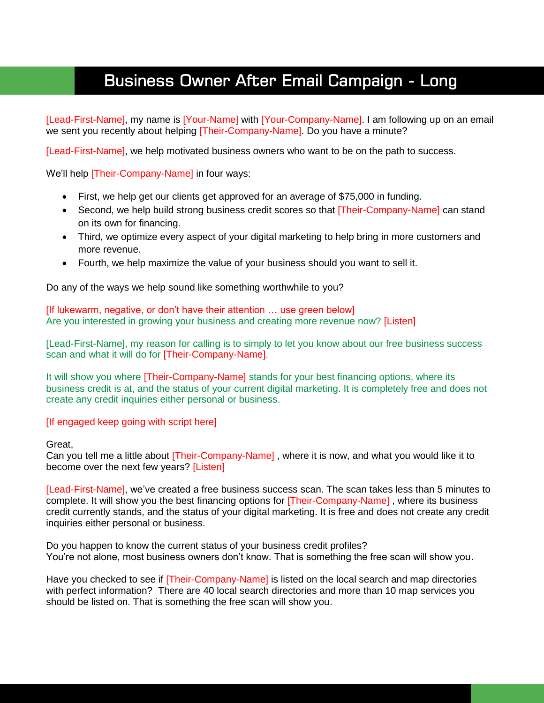# Business Owner After Email Campaign - Long

[Lead-First-Name], my name is [Your-Name] with [Your-Company-Name]. I am following up on an email we sent you recently about helping [Their-Company-Name]. Do you have a minute?

[Lead-First-Name], we help motivated business owners who want to be on the path to success.

We'll help **Their-Company-Name** in four ways:

- First, we help get our clients get approved for an average of \$75,000 in funding.
- Second, we help build strong business credit scores so that [Their-Company-Name] can stand on its own for financing.
- Third, we optimize every aspect of your digital marketing to help bring in more customers and more revenue.
- Fourth, we help maximize the value of your business should you want to sell it.

Do any of the ways we help sound like something worthwhile to you?

[If lukewarm, negative, or don't have their attention ... use green below] Are you interested in growing your business and creating more revenue now? [Listen]

[Lead-First-Name], my reason for calling is to simply to let you know about our free business success scan and what it will do for [Their-Company-Name].

It will show you where **[Their-Company-Name]** stands for your best financing options, where its business credit is at, and the status of your current digital marketing. It is completely free and does not create any credit inquiries either personal or business.

#### [If engaged keep going with script here]

#### Great,

Can you tell me a little about **[Their-Company-Name]**, where it is now, and what you would like it to become over the next few years? [Listen]

[Lead-First-Name], we've created a free business success scan. The scan takes less than 5 minutes to complete. It will show you the best financing options for [Their-Company-Name] , where its business credit currently stands, and the status of your digital marketing. It is free and does not create any credit inquiries either personal or business.

Do you happen to know the current status of your business credit profiles? You're not alone, most business owners don't know. That is something the free scan will show you.

Have you checked to see if **Their-Company-Name** is listed on the local search and map directories with perfect information? There are 40 local search directories and more than 10 map services you should be listed on. That is something the free scan will show you.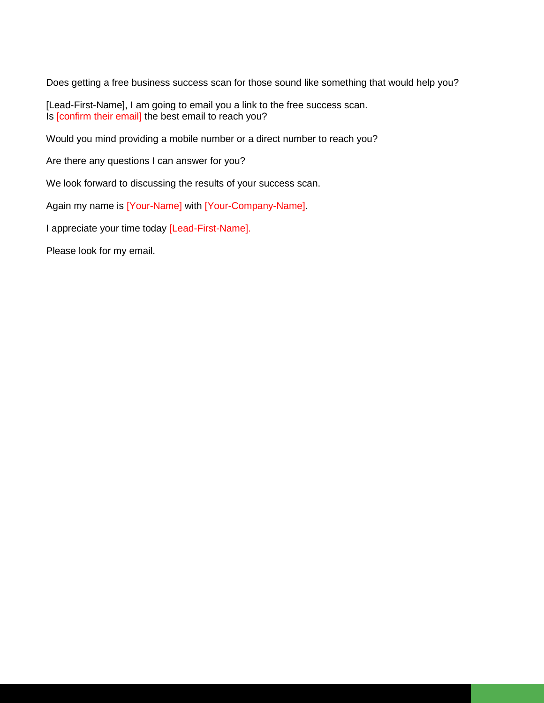Does getting a free business success scan for those sound like something that would help you?

[Lead-First-Name], I am going to email you a link to the free success scan. Is [confirm their email] the best email to reach you?

Would you mind providing a mobile number or a direct number to reach you?

Are there any questions I can answer for you?

We look forward to discussing the results of your success scan.

Again my name is [Your-Name] with [Your-Company-Name].

I appreciate your time today [Lead-First-Name].

Please look for my email.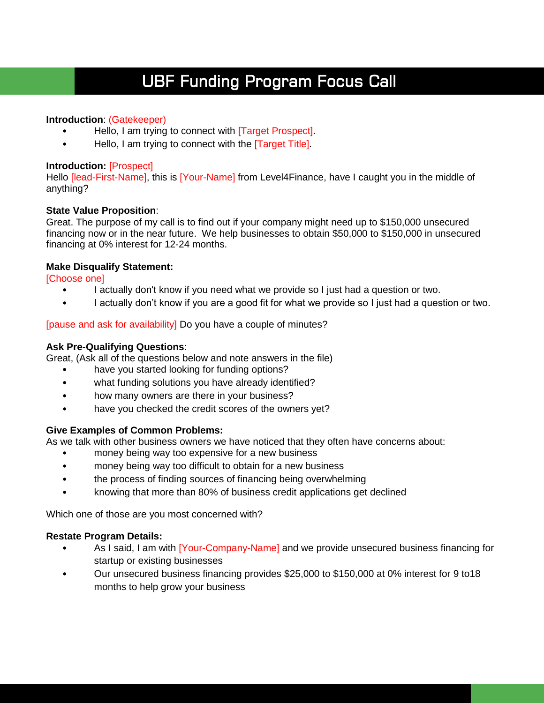# UBF Funding Program Focus Call

### **Introduction**: (Gatekeeper)

- Hello, I am trying to connect with [Target Prospect].
- Hello, I am trying to connect with the [Target Title].

#### **Introduction:** [Prospect]

Hello *[lead-First-Name]*, this is [Your-Name] from Level4Finance, have I caught you in the middle of anything?

### **State Value Proposition**:

Great. The purpose of my call is to find out if your company might need up to \$150,000 unsecured financing now or in the near future. We help businesses to obtain \$50,000 to \$150,000 in unsecured financing at 0% interest for 12-24 months.

### **Make Disqualify Statement:**

[Choose one]

- I actually don't know if you need what we provide so I just had a question or two.
- I actually don't know if you are a good fit for what we provide so I just had a question or two.

### [pause and ask for availability] Do you have a couple of minutes?

### **Ask Pre-Qualifying Questions**:

Great, (Ask all of the questions below and note answers in the file)

- have you started looking for funding options?
- what funding solutions you have already identified?
- how many owners are there in your business?
- have you checked the credit scores of the owners yet?

### **Give Examples of Common Problems:**

As we talk with other business owners we have noticed that they often have concerns about:

- money being way too expensive for a new business
- money being way too difficult to obtain for a new business
- the process of finding sources of financing being overwhelming
- knowing that more than 80% of business credit applications get declined

Which one of those are you most concerned with?

### **Restate Program Details:**

- As I said, I am with [Your-Company-Name] and we provide unsecured business financing for startup or existing businesses
- Our unsecured business financing provides \$25,000 to \$150,000 at 0% interest for 9 to18 months to help grow your business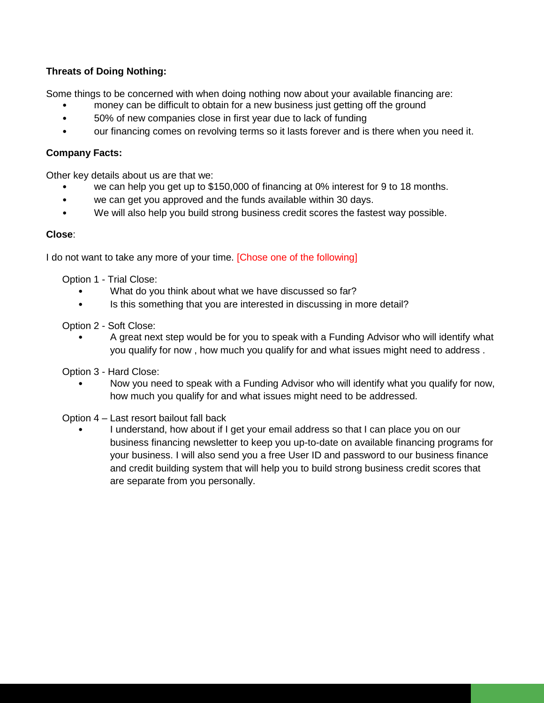### **Threats of Doing Nothing:**

Some things to be concerned with when doing nothing now about your available financing are:

- money can be difficult to obtain for a new business just getting off the ground
- 50% of new companies close in first year due to lack of funding
- our financing comes on revolving terms so it lasts forever and is there when you need it.

### **Company Facts:**

Other key details about us are that we:

- we can help you get up to \$150,000 of financing at 0% interest for 9 to 18 months.
- we can get you approved and the funds available within 30 days.
- We will also help you build strong business credit scores the fastest way possible.

### **Close**:

I do not want to take any more of your time. [Chose one of the following]

Option 1 - Trial Close:

- What do you think about what we have discussed so far?
- Is this something that you are interested in discussing in more detail?

Option 2 - Soft Close:

• A great next step would be for you to speak with a Funding Advisor who will identify what you qualify for now , how much you qualify for and what issues might need to address .

Option 3 - Hard Close:

• Now you need to speak with a Funding Advisor who will identify what you qualify for now, how much you qualify for and what issues might need to be addressed.

Option 4 – Last resort bailout fall back

• I understand, how about if I get your email address so that I can place you on our business financing newsletter to keep you up-to-date on available financing programs for your business. I will also send you a free User ID and password to our business finance and credit building system that will help you to build strong business credit scores that are separate from you personally.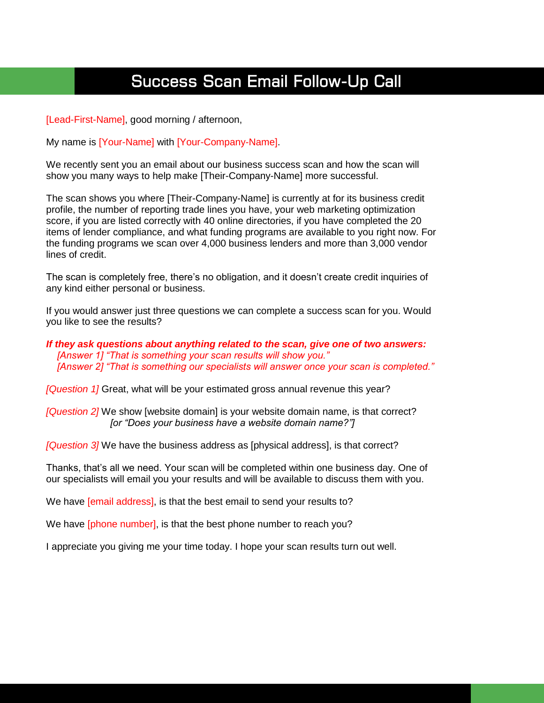# Success Scan Email Follow-Up Call

[Lead-First-Name], good morning / afternoon,

My name is [Your-Name] with [Your-Company-Name].

We recently sent you an email about our business success scan and how the scan will show you many ways to help make [Their-Company-Name] more successful.

The scan shows you where [Their-Company-Name] is currently at for its business credit profile, the number of reporting trade lines you have, your web marketing optimization score, if you are listed correctly with 40 online directories, if you have completed the 20 items of lender compliance, and what funding programs are available to you right now. For the funding programs we scan over 4,000 business lenders and more than 3,000 vendor lines of credit.

The scan is completely free, there's no obligation, and it doesn't create credit inquiries of any kind either personal or business.

If you would answer just three questions we can complete a success scan for you. Would you like to see the results?

*If they ask questions about anything related to the scan, give one of two answers: [Answer 1] "That is something your scan results will show you." [Answer 2] "That is something our specialists will answer once your scan is completed."*

*[Question 1]* Great, what will be your estimated gross annual revenue this year?

*[Question 2]* We show [website domain] is your website domain name, is that correct? *[or "Does your business have a website domain name?"]* 

*[Question 3]* We have the business address as [physical address], is that correct?

Thanks, that's all we need. Your scan will be completed within one business day. One of our specialists will email you your results and will be available to discuss them with you.

We have [email address], is that the best email to send your results to?

We have *[phone number]*, is that the best phone number to reach you?

I appreciate you giving me your time today. I hope your scan results turn out well.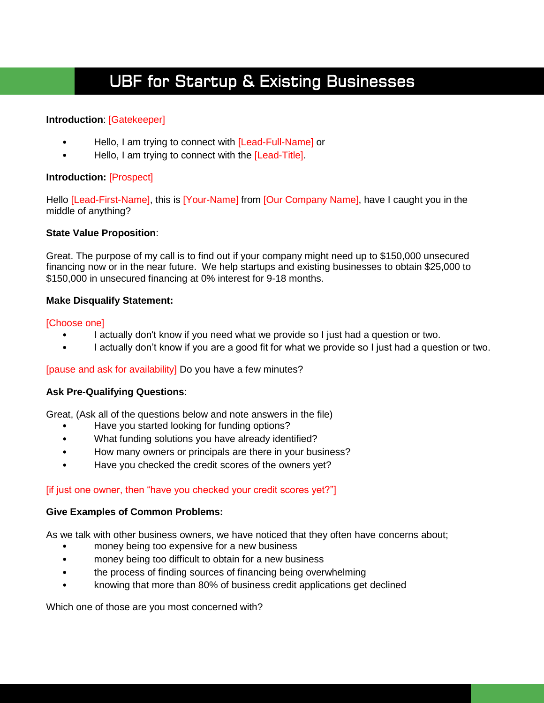# UBF for Startup & Existing Businesses

### **Introduction**: [Gatekeeper]

- Hello, I am trying to connect with [Lead-Full-Name] or
- Hello, I am trying to connect with the [Lead-Title].

#### **Introduction:** [Prospect]

Hello [Lead-First-Name], this is [Your-Name] from [Our Company Name], have I caught you in the middle of anything?

#### **State Value Proposition**:

Great. The purpose of my call is to find out if your company might need up to \$150,000 unsecured financing now or in the near future. We help startups and existing businesses to obtain \$25,000 to \$150,000 in unsecured financing at 0% interest for 9-18 months.

### **Make Disqualify Statement:**

#### [Choose one]

- I actually don't know if you need what we provide so I just had a question or two.
- I actually don't know if you are a good fit for what we provide so I just had a question or two.

### [pause and ask for availability] Do you have a few minutes?

### **Ask Pre-Qualifying Questions**:

Great, (Ask all of the questions below and note answers in the file)

- Have you started looking for funding options?
- What funding solutions you have already identified?
- How many owners or principals are there in your business?
- Have you checked the credit scores of the owners yet?

### [if just one owner, then "have you checked your credit scores yet?"]

#### **Give Examples of Common Problems:**

As we talk with other business owners, we have noticed that they often have concerns about;

- money being too expensive for a new business
- money being too difficult to obtain for a new business
- the process of finding sources of financing being overwhelming
- knowing that more than 80% of business credit applications get declined

Which one of those are you most concerned with?